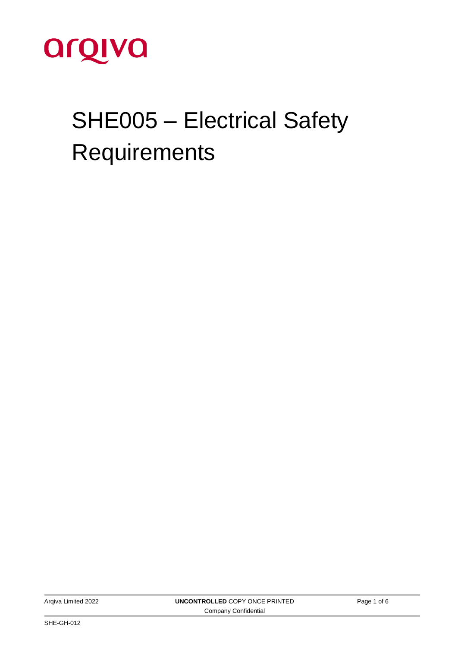

# SHE005 – Electrical Safety **Requirements**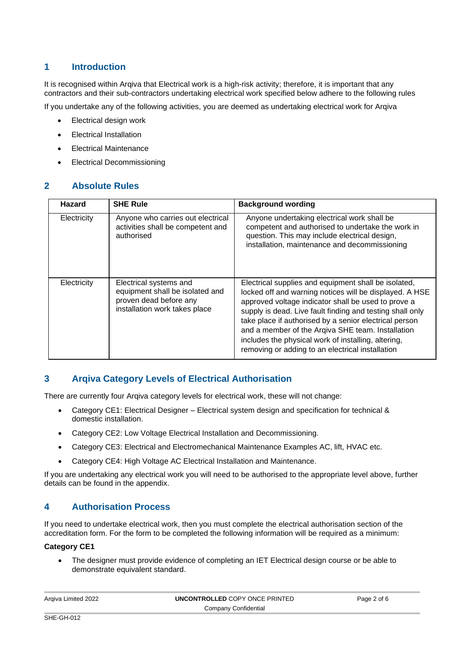# **1 Introduction**

It is recognised within Argiva that Electrical work is a high-risk activity; therefore, it is important that any contractors and their sub-contractors undertaking electrical work specified below adhere to the following rules

If you undertake any of the following activities, you are deemed as undertaking electrical work for Arqiva

- Electrical design work
- Electrical Installation
- Electrical Maintenance
- Electrical Decommissioning

#### **2 Absolute Rules**

| <b>Hazard</b> | <b>SHE Rule</b>                                                                                                      | <b>Background wording</b>                                                                                                                                                                                                                                                                                                                                                                                                                                     |
|---------------|----------------------------------------------------------------------------------------------------------------------|---------------------------------------------------------------------------------------------------------------------------------------------------------------------------------------------------------------------------------------------------------------------------------------------------------------------------------------------------------------------------------------------------------------------------------------------------------------|
| Electricity   | Anyone who carries out electrical<br>activities shall be competent and<br>authorised                                 | Anyone undertaking electrical work shall be<br>competent and authorised to undertake the work in<br>question. This may include electrical design,<br>installation, maintenance and decommissioning                                                                                                                                                                                                                                                            |
| Electricity   | Electrical systems and<br>equipment shall be isolated and<br>proven dead before any<br>installation work takes place | Electrical supplies and equipment shall be isolated,<br>locked off and warning notices will be displayed. A HSE<br>approved voltage indicator shall be used to prove a<br>supply is dead. Live fault finding and testing shall only<br>take place if authorised by a senior electrical person<br>and a member of the Argiva SHE team. Installation<br>includes the physical work of installing, altering,<br>removing or adding to an electrical installation |

#### **3 Arqiva Category Levels of Electrical Authorisation**

There are currently four Arqiva category levels for electrical work, these will not change:

- Category CE1: Electrical Designer Electrical system design and specification for technical & domestic installation.
- Category CE2: Low Voltage Electrical Installation and Decommissioning.
- Category CE3: Electrical and Electromechanical Maintenance Examples AC, lift, HVAC etc.
- Category CE4: High Voltage AC Electrical Installation and Maintenance.

If you are undertaking any electrical work you will need to be authorised to the appropriate level above, further details can be found in the appendix.

#### **4 Authorisation Process**

If you need to undertake electrical work, then you must complete the electrical authorisation section of the accreditation form. For the form to be completed the following information will be required as a minimum:

#### **Category CE1**

• The designer must provide evidence of completing an IET Electrical design course or be able to demonstrate equivalent standard.

| Argiva Limited 2022  | UNCONTROLLED COPY ONCE PRINTED | Page 2 of 6 |  |  |
|----------------------|--------------------------------|-------------|--|--|
| Company Confidential |                                |             |  |  |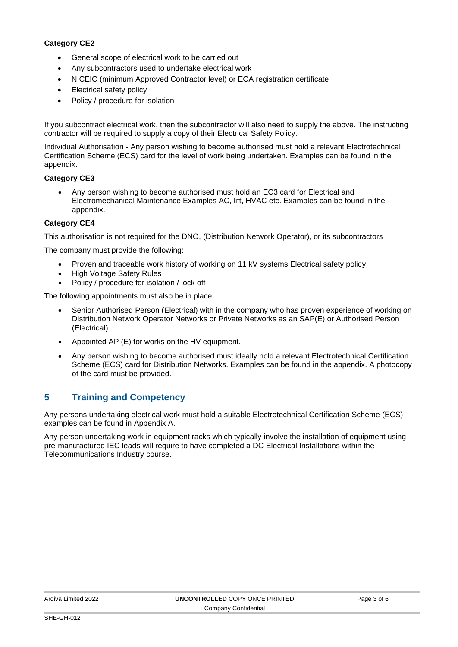#### **Category CE2**

- General scope of electrical work to be carried out
- Any subcontractors used to undertake electrical work
- NICEIC (minimum Approved Contractor level) or ECA registration certificate
- Electrical safety policy
- Policy / procedure for isolation

If you subcontract electrical work, then the subcontractor will also need to supply the above. The instructing contractor will be required to supply a copy of their Electrical Safety Policy.

Individual Authorisation - Any person wishing to become authorised must hold a relevant Electrotechnical Certification Scheme (ECS) card for the level of work being undertaken. Examples can be found in the appendix.

#### **Category CE3**

• Any person wishing to become authorised must hold an EC3 card for Electrical and Electromechanical Maintenance Examples AC, lift, HVAC etc. Examples can be found in the appendix.

#### **Category CE4**

This authorisation is not required for the DNO, (Distribution Network Operator), or its subcontractors

The company must provide the following:

- Proven and traceable work history of working on 11 kV systems Electrical safety policy
- High Voltage Safety Rules
- Policy / procedure for isolation / lock off

The following appointments must also be in place:

- Senior Authorised Person (Electrical) with in the company who has proven experience of working on Distribution Network Operator Networks or Private Networks as an SAP(E) or Authorised Person (Electrical).
- Appointed AP (E) for works on the HV equipment.
- Any person wishing to become authorised must ideally hold a relevant Electrotechnical Certification Scheme (ECS) card for Distribution Networks. Examples can be found in the appendix. A photocopy of the card must be provided.

# **5 Training and Competency**

Any persons undertaking electrical work must hold a suitable Electrotechnical Certification Scheme (ECS) examples can be found in Appendix A.

Any person undertaking work in equipment racks which typically involve the installation of equipment using pre-manufactured IEC leads will require to have completed a DC Electrical Installations within the Telecommunications Industry course.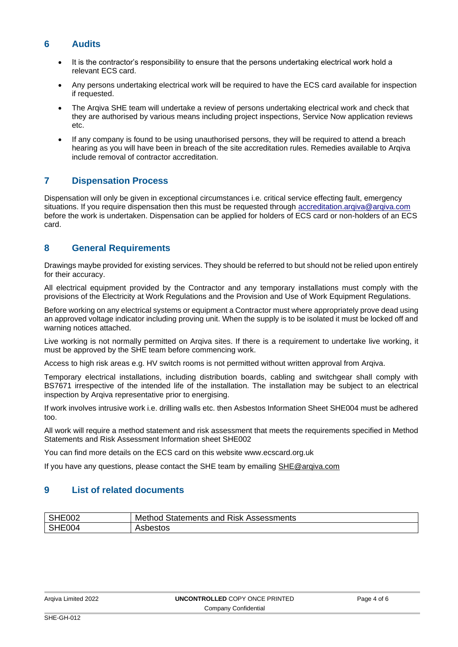#### **6 Audits**

- It is the contractor's responsibility to ensure that the persons undertaking electrical work hold a relevant ECS card.
- Any persons undertaking electrical work will be required to have the ECS card available for inspection if requested.
- The Argiva SHE team will undertake a review of persons undertaking electrical work and check that they are authorised by various means including project inspections, Service Now application reviews etc.
- If any company is found to be using unauthorised persons, they will be required to attend a breach hearing as you will have been in breach of the site accreditation rules. Remedies available to Arqiva include removal of contractor accreditation.

# **7 Dispensation Process**

Dispensation will only be given in exceptional circumstances i.e. critical service effecting fault, emergency situations. If you require dispensation then this must be requested through accreditation.argiva@argiva.com before the work is undertaken. Dispensation can be applied for holders of ECS card or non-holders of an ECS card.

# **8 General Requirements**

Drawings maybe provided for existing services. They should be referred to but should not be relied upon entirely for their accuracy.

All electrical equipment provided by the Contractor and any temporary installations must comply with the provisions of the Electricity at Work Regulations and the Provision and Use of Work Equipment Regulations.

Before working on any electrical systems or equipment a Contractor must where appropriately prove dead using an approved voltage indicator including proving unit. When the supply is to be isolated it must be locked off and warning notices attached.

Live working is not normally permitted on Arqiva sites. If there is a requirement to undertake live working, it must be approved by the SHE team before commencing work.

Access to high risk areas e.g. HV switch rooms is not permitted without written approval from Arqiva.

Temporary electrical installations, including distribution boards, cabling and switchgear shall comply with BS7671 irrespective of the intended life of the installation. The installation may be subject to an electrical inspection by Arqiva representative prior to energising.

If work involves intrusive work i.e. drilling walls etc. then Asbestos Information Sheet SHE004 must be adhered too.

All work will require a method statement and risk assessment that meets the requirements specified in Method Statements and Risk Assessment Information sheet SHE002

You can find more details on the ECS card on this website www.ecscard.org.uk

If you have any questions, please contact the SHE team by emailing [SHE@arqiva.com](mailto:SHE@arqiva.com)

# **9 List of related documents**

| $\sim$ $\sim$ $\sim$<br>E002<br>۱Г | Statements and<br><b>Risk</b><br>Assessments<br>Method |
|------------------------------------|--------------------------------------------------------|
| $\Omega$<br>E004<br>-              | วestos                                                 |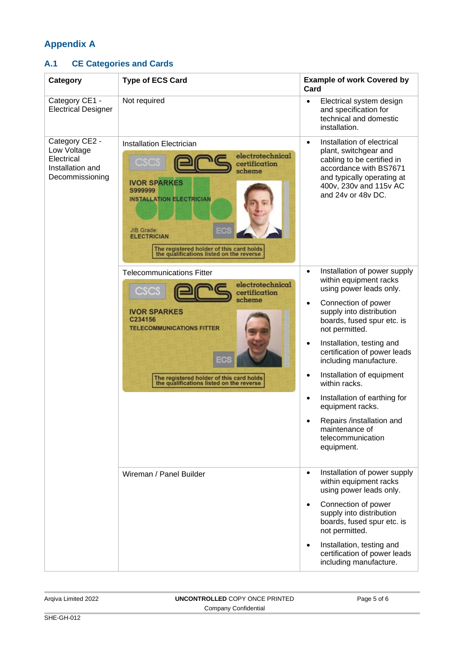# **Appendix A**

# **A.1 CE Categories and Cards**

| Category                                                                           | <b>Type of ECS Card</b>                                                                                                                                                                                                                                                         | <b>Example of work Covered by</b><br>Card                                                                                                                                                                                                                                                                                                                                                                                                                                                                           |
|------------------------------------------------------------------------------------|---------------------------------------------------------------------------------------------------------------------------------------------------------------------------------------------------------------------------------------------------------------------------------|---------------------------------------------------------------------------------------------------------------------------------------------------------------------------------------------------------------------------------------------------------------------------------------------------------------------------------------------------------------------------------------------------------------------------------------------------------------------------------------------------------------------|
| Category CE1 -<br><b>Electrical Designer</b>                                       | Not required                                                                                                                                                                                                                                                                    | Electrical system design<br>$\bullet$<br>and specification for<br>technical and domestic<br>installation.                                                                                                                                                                                                                                                                                                                                                                                                           |
| Category CE2 -<br>Low Voltage<br>Electrical<br>Installation and<br>Decommissioning | <b>Installation Electrician</b><br>electrotechnical<br>certification<br>scheme<br><b>IVOR SPARKES</b><br>S999999<br><b>INSTALLATION ELECTRICIAN</b><br>JIB Grade:<br><b>ELECTRICIAN</b><br>The registered holder of this card holds<br>the qualifications listed on the reverse | Installation of electrical<br>$\bullet$<br>plant, switchgear and<br>cabling to be certified in<br>accordance with BS7671<br>and typically operating at<br>400v, 230v and 115v AC<br>and 24v or 48v DC.                                                                                                                                                                                                                                                                                                              |
|                                                                                    | <b>Telecommunications Fitter</b><br>electrotechnical<br>certification<br>scheme<br><b>IVOR SPARKES</b><br>C234156<br><b>TELECOMMUNICATIONS FITTER</b><br>The registered holder of this card holds<br>the qualifications listed on the reverse                                   | Installation of power supply<br>$\bullet$<br>within equipment racks<br>using power leads only.<br>Connection of power<br>$\bullet$<br>supply into distribution<br>boards, fused spur etc. is<br>not permitted.<br>Installation, testing and<br>certification of power leads<br>including manufacture.<br>Installation of equipment<br>$\bullet$<br>within racks.<br>Installation of earthing for<br>$\bullet$<br>equipment racks.<br>Repairs /installation and<br>maintenance of<br>telecommunication<br>equipment. |
|                                                                                    | Wireman / Panel Builder                                                                                                                                                                                                                                                         | Installation of power supply<br>$\bullet$<br>within equipment racks<br>using power leads only.<br>Connection of power<br>$\bullet$<br>supply into distribution<br>boards, fused spur etc. is<br>not permitted.<br>Installation, testing and<br>$\bullet$<br>certification of power leads<br>including manufacture.                                                                                                                                                                                                  |